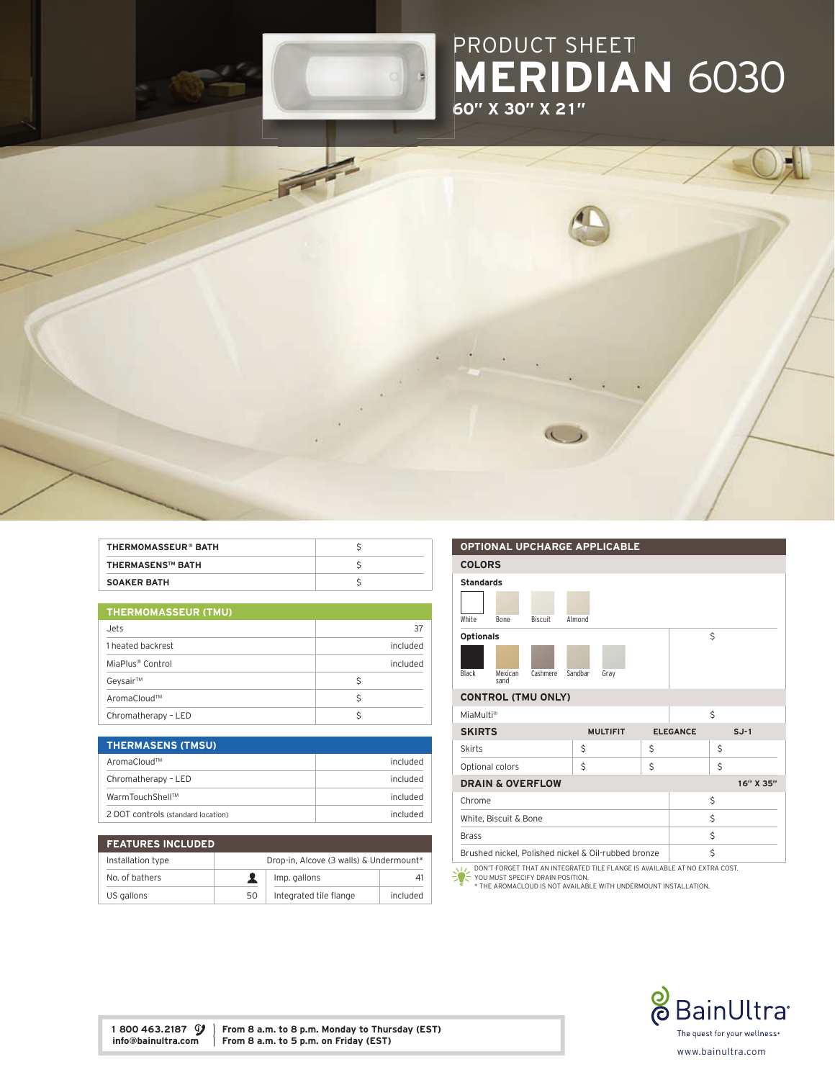

## PRODUCT SHEET MERIDIAN 6030 60" X 30" X 21"



| <b>THERMOMASSEUR® BATH</b> |  |
|----------------------------|--|
| <b>THERMASENS™ BATH</b>    |  |
| <b>SOAKER BATH</b>         |  |

| THERMOMASSEUR (TMU)          |   |          |
|------------------------------|---|----------|
| Jets.                        |   | 37       |
| 1 heated backrest            |   | included |
| MiaPlus <sup>®</sup> Control |   | included |
| Geysair™                     | Ś |          |
| AromaCloud™                  |   |          |

Chromatherapy – LED \$

| <b>THERMASENS (TMSU)</b>           |          |
|------------------------------------|----------|
| AromaCloud™                        | included |
| Chromatherapy - LED                | included |
| WarmTouchShell™                    | included |
| 2 DOT controls (standard location) | included |

| <b>FEATURES INCLUDED</b> |                                         |                        |          |
|--------------------------|-----------------------------------------|------------------------|----------|
| Installation type        | Drop-in, Alcove (3 walls) & Undermount* |                        |          |
| No. of bathers           |                                         | Imp. gallons           | 41       |
| US gallons               | 50                                      | Integrated tile flange | included |



YOU MUST SPECIFY DRAIN POSITION. \* THE AROMACLOUD IS NOT AVAILABLE WITH UNDERMOUNT INSTALLATION.